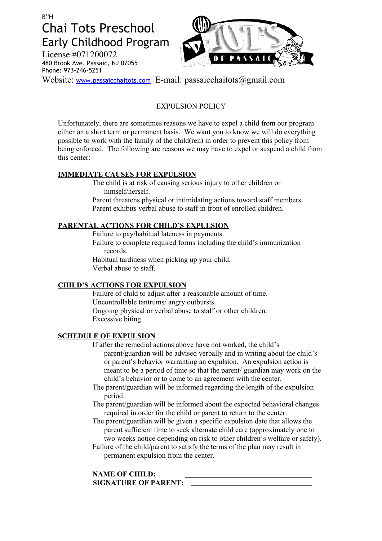PASSA

License #071200072 480 Brook Ave. Passaic, NJ 07055 Phone: 973-246-5251

Website: [www.passaicchaitots.com](http://www.chabadofsacramento.org/) E-mail: passaicchaitots@gmail.com

### EXPULSION POLICY

Unfortunately, there are sometimes reasons we have to expel a child from our program either on a short term or permanent basis. We want you to know we will do everything possible to work with the family of the child(ren) in order to prevent this policy from being enforced. The following are reasons we may have to expel or suspend a child from this center:

### **IMMEDIATE CAUSES FOR EXPULSION**

The child is at risk of causing serious injury to other children or himself/herself.

Parent threatens physical or intimidating actions toward staff members. Parent exhibits verbal abuse to staff in front of enrolled children.

### **PARENTAL ACTIONS FOR CHILD'S EXPULSION**

Failure to pay/habitual lateness in payments.

Failure to complete required forms including the child's immunization records.

Habitual tardiness when picking up your child.

Verbal abuse to staff.

### **CHILD'S ACTIONS FOR EXPULSION**

Failure of child to adjust after a reasonable amount of time. Uncontrollable tantrums/ angry outbursts. Ongoing physical or verbal abuse to staff or other children. Excessive biting.

### **SCHEDULE OF EXPULSION**

- If after the remedial actions above have not worked, the child's parent/guardian will be advised verbally and in writing about the child's or parent's behavior warranting an expulsion. An expulsion action is meant to be a period of time so that the parent/ guardian may work on the child's behavior or to come to an agreement with the center.
- The parent/guardian will be informed regarding the length of the expulsion period.
- The parent/guardian will be informed about the expected behavioral changes required in order for the child or parent to return to the center.
- The parent/guardian will be given a specific expulsion date that allows the parent sufficient time to seek alternate child care (approximately one to two weeks notice depending on risk to other children's welfare or safety).
- Failure of the child/parent to satisfy the terms of the plan may result in permanent expulsion from the center.

#### **NAME OF CHILD: SIGNATURE OF PARENT:**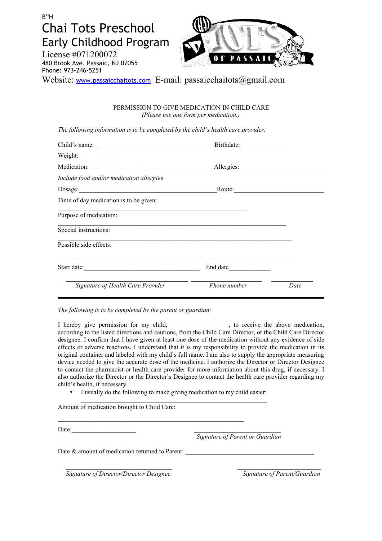License #071200072 480 Brook Ave. Passaic, NJ 07055 Phone: 973-246-5251



Website: [www.passaicchaitots.com](http://www.chabadofsacramento.org/) E-mail: passaicchaitots@gmail.com

PERMISSION TO GIVE MEDICATION IN CHILD CARE *(Please use one form per medication.)*

*The following information is to be completed by the child's health care provider:*

| Child's name:                            | Birthdate:             |      |
|------------------------------------------|------------------------|------|
|                                          |                        |      |
| Medication:                              | Allergies:             |      |
| Include food and/or medication allergies |                        |      |
|                                          | Route: $\qquad \qquad$ |      |
| Time of day medication is to be given:   |                        |      |
| Purpose of medication:                   |                        |      |
| Special instructions:                    |                        |      |
| Possible side effects:                   |                        |      |
| Start date:                              |                        |      |
| Signature of Health Care Provider        | Phone number           | Date |

*The following is to be completed by the parent or guardian:*

I hereby give permission for my child, \_\_\_\_\_\_\_\_\_\_\_\_\_\_, to receive the above medication, according to the listed directions and cautions, from the Child Care Director, or the Child Care Director designee. I confirm that I have given at least one dose of the medication without any evidence of side effects or adverse reactions. I understand that it is my responsibility to provide the medication in its original container and labeled with my child's full name. I am also to supply the appropriate measuring device needed to give the accurate dose of the medicine. I authorize the Director or Director Designee to contact the pharmacist or health care provider for more information about this drug, if necessary. I also authorize the Director or the Director's Designee to contact the health care provider regarding my child's health, if necessary.

• I usually do the following to make giving medication to my child easier:

 $\mathcal{L}_\text{max}$  and the contract of the contract of the contract of the contract of the contract of the contract of

Amount of medication brought to Child Care:

Date:

 *Signature of Parent or Guardian*

Date & amount of medication returned to Parent:

 $\overline{\phantom{a}}$  ,  $\overline{\phantom{a}}$  ,  $\overline{\phantom{a}}$  ,  $\overline{\phantom{a}}$  ,  $\overline{\phantom{a}}$  ,  $\overline{\phantom{a}}$  ,  $\overline{\phantom{a}}$  ,  $\overline{\phantom{a}}$  ,  $\overline{\phantom{a}}$  ,  $\overline{\phantom{a}}$  ,  $\overline{\phantom{a}}$  ,  $\overline{\phantom{a}}$  ,  $\overline{\phantom{a}}$  ,  $\overline{\phantom{a}}$  ,  $\overline{\phantom{a}}$  ,  $\overline{\phantom{a}}$ *Signature of Director/Director Designee Signature of Parent/Guardian*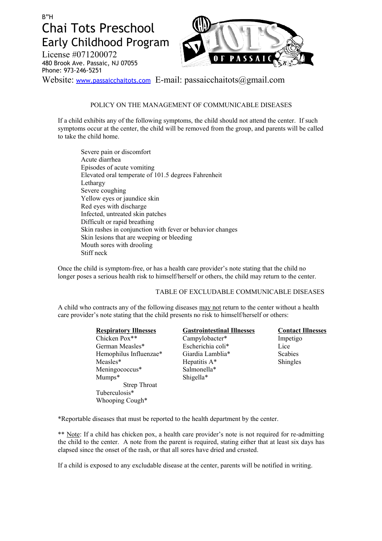License #071200072 480 Brook Ave. Passaic, NJ 07055 Phone: 973-246-5251



Website: [www.passaicchaitots.com](http://www.chabadofsacramento.org/) E-mail: passaicchaitots@gmail.com

#### POLICY ON THE MANAGEMENT OF COMMUNICABLE DISEASES

If a child exhibits any of the following symptoms, the child should not attend the center. If such symptoms occur at the center, the child will be removed from the group, and parents will be called to take the child home.

Severe pain or discomfort Acute diarrhea Episodes of acute vomiting Elevated oral temperate of 101.5 degrees Fahrenheit Lethargy Severe coughing Yellow eyes or jaundice skin Red eyes with discharge Infected, untreated skin patches Difficult or rapid breathing Skin rashes in conjunction with fever or behavior changes Skin lesions that are weeping or bleeding Mouth sores with drooling Stiff neck

Once the child is symptom-free, or has a health care provider's note stating that the child no longer poses a serious health risk to himself/herself or others, the child may return to the center.

#### TABLE OF EXCLUDABLE COMMUNICABLE DISEASES

A child who contracts any of the following diseases may not return to the center without a health care provider's note stating that the child presents no risk to himself/herself or others:

| <b>Respiratory Illnesses</b> | <b>Gastrointestinal Illnesses</b> | <b>Contact Illnesses</b> |
|------------------------------|-----------------------------------|--------------------------|
| Chicken Pox**                | Campylobacter*                    | Impetigo                 |
| German Measles*              | Escherichia coli*                 | Lice                     |
| Hemophilus Influenzae*       | Giardia Lamblia*                  | Scabies                  |
| Measles*                     | Hepatitis A*                      | Shingles                 |
| Meningococcus*               | Salmonella*                       |                          |
| $Mumps*$                     | Shigella*                         |                          |
| <b>Strep Throat</b>          |                                   |                          |
| Tuberculosis*                |                                   |                          |

\*Reportable diseases that must be reported to the health department by the center.

Whooping Cough\*

\*\* Note: If a child has chicken pox, a health care provider's note is not required for re-admitting the child to the center. A note from the parent is required, stating either that at least six days has elapsed since the onset of the rash, or that all sores have dried and crusted.

If a child is exposed to any excludable disease at the center, parents will be notified in writing.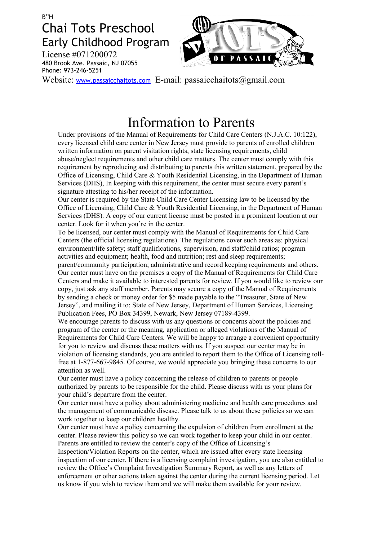License #071200072 480 Brook Ave. Passaic, NJ 07055 Phone: 973-246-5251



Website: [www.passaicchaitots.com](http://www.chabadofsacramento.org/) E-mail: passaicchaitots@gmail.com

# Information to Parents

Under provisions of the Manual of Requirements for Child Care Centers (N.J.A.C. 10:122), every licensed child care center in New Jersey must provide to parents of enrolled children written information on parent visitation rights, state licensing requirements, child abuse/neglect requirements and other child care matters. The center must comply with this requirement by reproducing and distributing to parents this written statement, prepared by the Office of Licensing, Child Care & Youth Residential Licensing, in the Department of Human Services (DHS), In keeping with this requirement, the center must secure every parent's signature attesting to his/her receipt of the information.

Our center is required by the State Child Care Center Licensing law to be licensed by the Office of Licensing, Child Care & Youth Residential Licensing, in the Department of Human Services (DHS). A copy of our current license must be posted in a prominent location at our center. Look for it when you're in the center.

To be licensed, our center must comply with the Manual of Requirements for Child Care Centers (the official licensing regulations). The regulations cover such areas as: physical environment/life safety; staff qualifications, supervision, and staff/child ratios; program activities and equipment; health, food and nutrition; rest and sleep requirements;

parent/community participation; administrative and record keeping requirements and others. Our center must have on the premises a copy of the Manual of Requirements for Child Care Centers and make it available to interested parents for review. If you would like to review our copy, just ask any staff member. Parents may secure a copy of the Manual of Requirements by sending a check or money order for \$5 made payable to the "Treasurer, State of New Jersey", and mailing it to: State of New Jersey, Department of Human Services, Licensing Publication Fees, PO Box 34399, Newark, New Jersey 07189-4399.

We encourage parents to discuss with us any questions or concerns about the policies and program of the center or the meaning, application or alleged violations of the Manual of Requirements for Child Care Centers. We will be happy to arrange a convenient opportunity for you to review and discuss these matters with us. If you suspect our center may be in violation of licensing standards, you are entitled to report them to the Office of Licensing tollfree at 1-877-667-9845. Of course, we would appreciate you bringing these concerns to our attention as well.

Our center must have a policy concerning the release of children to parents or people authorized by parents to be responsible for the child. Please discuss with us your plans for your child's departure from the center.

Our center must have a policy about administering medicine and health care procedures and the management of communicable disease. Please talk to us about these policies so we can work together to keep our children healthy.

Our center must have a policy concerning the expulsion of children from enrollment at the center. Please review this policy so we can work together to keep your child in our center. Parents are entitled to review the center's copy of the Office of Licensing's

Inspection/Violation Reports on the center, which are issued after every state licensing inspection of our center. If there is a licensing complaint investigation, you are also entitled to review the Office's Complaint Investigation Summary Report, as well as any letters of enforcement or other actions taken against the center during the current licensing period. Let us know if you wish to review them and we will make them available for your review.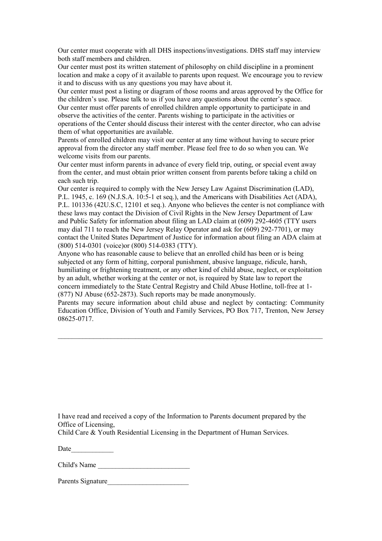Our center must cooperate with all DHS inspections/investigations. DHS staff may interview both staff members and children.

Our center must post its written statement of philosophy on child discipline in a prominent location and make a copy of it available to parents upon request. We encourage you to review it and to discuss with us any questions you may have about it.

Our center must post a listing or diagram of those rooms and areas approved by the Office for the children's use. Please talk to us if you have any questions about the center's space. Our center must offer parents of enrolled children ample opportunity to participate in and observe the activities of the center. Parents wishing to participate in the activities or operations of the Center should discuss their interest with the center director, who can advise them of what opportunities are available.

Parents of enrolled children may visit our center at any time without having to secure prior approval from the director any staff member. Please feel free to do so when you can. We welcome visits from our parents.

Our center must inform parents in advance of every field trip, outing, or special event away from the center, and must obtain prior written consent from parents before taking a child on each such trip.

Our center is required to comply with the New Jersey Law Against Discrimination (LAD), P.L. 1945, c. 169 (N.J.S.A. 10:5-1 et seq.), and the Americans with Disabilities Act (ADA), P.L. 101336 (42U.S.C, 12101 et seq.). Anyone who believes the center is not compliance with these laws may contact the Division of Civil Rights in the New Jersey Department of Law and Public Safety for information about filing an LAD claim at (609) 292-4605 (TTY users may dial 711 to reach the New Jersey Relay Operator and ask for (609) 292-7701), or may contact the United States Department of Justice for information about filing an ADA claim at (800) 514-0301 (voice)or (800) 514-0383 (TTY).

Anyone who has reasonable cause to believe that an enrolled child has been or is being subjected ot any form of hitting, corporal punishment, abusive language, ridicule, harsh, humiliating or frightening treatment, or any other kind of child abuse, neglect, or exploitation by an adult, whether working at the center or not, is required by State law to report the concern immediately to the State Central Registry and Child Abuse Hotline, toll-free at 1- (877) NJ Abuse (652-2873). Such reports may be made anonymously.

Parents may secure information about child abuse and neglect by contacting: Community Education Office, Division of Youth and Family Services, PO Box 717, Trenton, New Jersey 08625-0717.

 $\mathcal{L}_\text{max} = \mathcal{L}_\text{max} = \mathcal{L}_\text{max} = \mathcal{L}_\text{max} = \mathcal{L}_\text{max} = \mathcal{L}_\text{max} = \mathcal{L}_\text{max} = \mathcal{L}_\text{max} = \mathcal{L}_\text{max} = \mathcal{L}_\text{max} = \mathcal{L}_\text{max} = \mathcal{L}_\text{max} = \mathcal{L}_\text{max} = \mathcal{L}_\text{max} = \mathcal{L}_\text{max} = \mathcal{L}_\text{max} = \mathcal{L}_\text{max} = \mathcal{L}_\text{max} = \mathcal{$ 

I have read and received a copy of the Information to Parents document prepared by the Office of Licensing,

Child Care & Youth Residential Licensing in the Department of Human Services.

Date  $\Box$ 

Child's Name \_\_\_\_\_\_\_\_\_\_\_\_\_\_\_\_\_\_\_\_\_\_\_\_\_\_

Parents Signature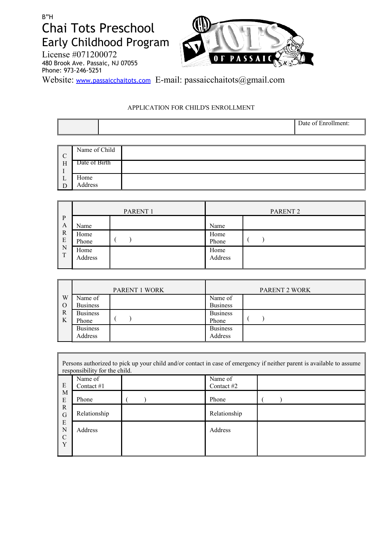

License #071200072 480 Brook Ave. Passaic, NJ 07055 Phone: 973-246-5251

Website: [www.passaicchaitots.com](http://www.chabadofsacramento.org/) E-mail: passaicchaitots@gmail.com

#### APPLICATION FOR CHILD'S ENROLLMENT

|  | $\sqrt{ }$ |
|--|------------|
|--|------------|

| C | Name of Child |  |
|---|---------------|--|
| H | Date of Birth |  |
|   |               |  |
| ப | Home          |  |
| D | Address       |  |

|                             | PARENT <sub>1</sub> |  | PARENT <sub>2</sub> |  |  |
|-----------------------------|---------------------|--|---------------------|--|--|
| $\left  \right $ P<br>A     | Name                |  | Name                |  |  |
| $\mathbf R$<br>E            | Home<br>Phone       |  | Home<br>Phone       |  |  |
| $\mathbf N$<br>$\mathbf{r}$ | Home<br>Address     |  | Home<br>Address     |  |  |

|                |                 | <b>PARENT 1 WORK</b> | <b>PARENT 2 WORK</b> |  |  |
|----------------|-----------------|----------------------|----------------------|--|--|
| W              | Name of         |                      | Name of              |  |  |
| $\overline{O}$ | <b>Business</b> |                      | <b>Business</b>      |  |  |
| R              | <b>Business</b> |                      | <b>Business</b>      |  |  |
| K              | Phone           |                      | Phone                |  |  |
|                | <b>Business</b> |                      | <b>Business</b>      |  |  |
|                | Address         |                      | Address              |  |  |

|                            | Persons authorized to pick up your child and/or contact in case of emergency if neither parent is available to assume<br>responsibility for the child. |  |  |  |                         |  |
|----------------------------|--------------------------------------------------------------------------------------------------------------------------------------------------------|--|--|--|-------------------------|--|
| E                          | Name of<br>Contact $#1$                                                                                                                                |  |  |  | Name of<br>Contact $#2$ |  |
| M<br>E                     | Phone                                                                                                                                                  |  |  |  | Phone                   |  |
| R<br>G<br>E<br>N<br>C<br>Y | Relationship                                                                                                                                           |  |  |  | Relationship            |  |
|                            | <b>Address</b>                                                                                                                                         |  |  |  | Address                 |  |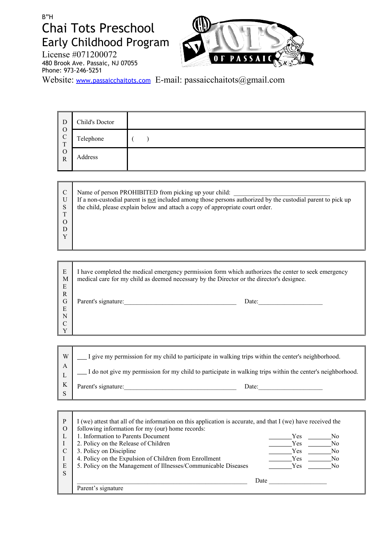

License #071200072 480 Brook Ave. Passaic, NJ 07055 Phone: 973-246-5251

Website: [www.passaicchaitots.com](http://www.chabadofsacramento.org/) E-mail: passaicchaitots@gmail.com

| D                                       | Child's Doctor |  |
|-----------------------------------------|----------------|--|
| $\Omega$<br>$\mathbf C$<br>$\mathbf{r}$ | Telephone      |  |
| $\Omega$<br>$\mathbf R$                 | Address        |  |

|                | Name of person PROHIBITED from picking up your child:                                                       |
|----------------|-------------------------------------------------------------------------------------------------------------|
| $\overline{U}$ | If a non-custodial parent is not included among those persons authorized by the custodial parent to pick up |
| S              | the child, please explain below and attach a copy of appropriate court order.                               |
|                |                                                                                                             |
|                |                                                                                                             |
|                |                                                                                                             |
|                |                                                                                                             |
|                |                                                                                                             |

| E             | I have completed the medical emergency permission form which authorizes the center to seek emergency |
|---------------|------------------------------------------------------------------------------------------------------|
| M             | medical care for my child as deemed necessary by the Director or the director's designee.            |
| E             |                                                                                                      |
| $\mathbf R$   |                                                                                                      |
| G             | Parent's signature:<br>Date:                                                                         |
| E             |                                                                                                      |
| N             |                                                                                                      |
| $\mathcal{C}$ |                                                                                                      |
| $\mathbf{v}$  |                                                                                                      |
|               |                                                                                                      |

| W | I give my permission for my child to participate in walking trips within the center's neighborhood.        |
|---|------------------------------------------------------------------------------------------------------------|
|   | I do not give my permission for my child to participate in walking trips within the center's neighborhood. |
| K | Parent's signature:<br>Date:                                                                               |

| P        | I (we) attest that all of the information on this application is accurate, and that I (we) have received the |                              |  |
|----------|--------------------------------------------------------------------------------------------------------------|------------------------------|--|
| $\Omega$ | following information for my (our) home records:                                                             |                              |  |
| L        | 1. Information to Parents Document                                                                           | Yes<br>No                    |  |
|          | 2. Policy on the Release of Children                                                                         | Yes<br>N <sub>0</sub>        |  |
| C        | 3. Policy on Discipline                                                                                      | Yes<br>No                    |  |
|          | 4. Policy on the Expulsion of Children from Enrollment                                                       | <b>Yes</b><br>N <sub>0</sub> |  |
| E        | 5. Policy on the Management of Illnesses/Communicable Diseases                                               | Yes<br>No                    |  |
| S        |                                                                                                              |                              |  |
|          |                                                                                                              | Date                         |  |
|          | Parent's signature                                                                                           |                              |  |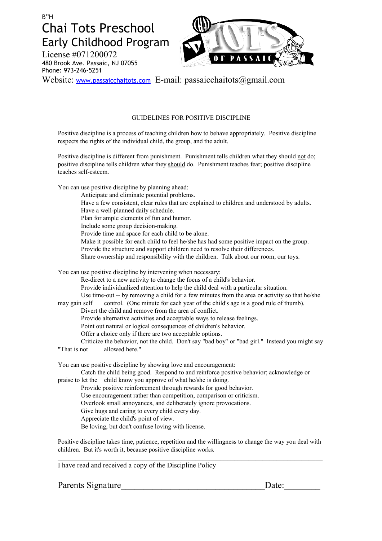

License #071200072 480 Brook Ave. Passaic, NJ 07055 Phone: 973-246-5251

Website: [www.passaicchaitots.com](http://www.chabadofsacramento.org/) E-mail: passaicchaitots@gmail.com

#### GUIDELINES FOR POSITIVE DISCIPLINE

Positive discipline is a process of teaching children how to behave appropriately. Positive discipline respects the rights of the individual child, the group, and the adult.

Positive discipline is different from punishment. Punishment tells children what they should not do; positive discipline tells children what they should do. Punishment teaches fear; positive discipline teaches self-esteem.

You can use positive discipline by planning ahead:

- Anticipate and eliminate potential problems.
- Have a few consistent, clear rules that are explained to children and understood by adults.
- Have a well-planned daily schedule.
- Plan for ample elements of fun and humor.
- Include some group decision-making.
- Provide time and space for each child to be alone.
- Make it possible for each child to feel he/she has had some positive impact on the group.
- Provide the structure and support children need to resolve their differences.
- Share ownership and responsibility with the children. Talk about our room, our toys.

You can use positive discipline by intervening when necessary:

Re-direct to a new activity to change the focus of a child's behavior.

Provide individualized attention to help the child deal with a particular situation.

Use time-out -- by removing a child for a few minutes from the area or activity so that he/she may gain self control. (One minute for each year of the child's age is a good rule of thumb).

Divert the child and remove from the area of conflict.

Provide alternative activities and acceptable ways to release feelings.

Point out natural or logical consequences of children's behavior.

Offer a choice only if there are two acceptable options.

Criticize the behavior, not the child. Don't say "bad boy" or "bad girl." Instead you might say "That is not allowed here."

You can use positive discipline by showing love and encouragement:

Catch the child being good. Respond to and reinforce positive behavior; acknowledge or praise to let the child know you approve of what he/she is doing.

Provide positive reinforcement through rewards for good behavior.

Use encouragement rather than competition, comparison or criticism.

Overlook small annoyances, and deliberately ignore provocations.

Give hugs and caring to every child every day.

Appreciate the child's point of view.

Be loving, but don't confuse loving with license.

Positive discipline takes time, patience, repetition and the willingness to change the way you deal with children. But it's worth it, because positive discipline works.  $\mathcal{L}_\text{max} = \frac{1}{2} \sum_{i=1}^n \mathcal{L}_\text{max} = \frac{1}{2} \sum_{i=1}^n \mathcal{L}_\text{max} = \frac{1}{2} \sum_{i=1}^n \mathcal{L}_\text{max} = \frac{1}{2} \sum_{i=1}^n \mathcal{L}_\text{max} = \frac{1}{2} \sum_{i=1}^n \mathcal{L}_\text{max} = \frac{1}{2} \sum_{i=1}^n \mathcal{L}_\text{max} = \frac{1}{2} \sum_{i=1}^n \mathcal{L}_\text{max} = \frac{1}{2} \sum_{i=$ 

I have read and received a copy of the Discipline Policy

Parents Signature Date: